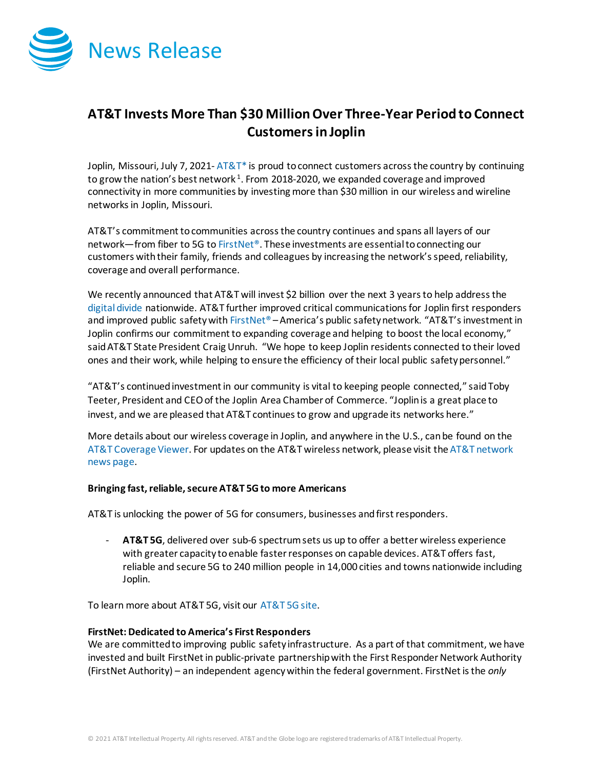

## **AT&T Invests More Than \$30 MillionOver Three-Year Period to Connect Customersin Joplin**

Joplin, Missouri, July 7, 2021-  $AT\&T^*$  is proud to connect customers across the country by continuing to grow the nation's best network<sup>1</sup>. From 2018-2020, we expanded coverage and improved connectivity in more communities by investing more than \$30 million in our wireless and wireline networks in Joplin, Missouri.

AT&T's commitment to communities across the country continues and spans all layers of our network—from fiber to 5G t[o FirstNet®](http://www.firstnet.com/). These investments are essential to connecting our customers with their family, friends and colleagues by increasing the network's speed, reliability, coverage and overall performance.

We recently announced that AT&T will invest \$2 billion over the next 3 years to help address the [digital divide](https://about.att.com/story/2021/digital_divide.html) nationwide. AT&T further improved critical communications for Joplin first responders and improved public safety wit[h FirstNet®](http://www.firstnet.com/) – America's public safety network. "AT&T's investment in Joplin confirms our commitment to expanding coverage and helping to boost the local economy," said AT&T State President Craig Unruh. "We hope to keep Joplin residents connected to their loved ones and their work, while helping to ensure the efficiency of their local public safety personnel."

"AT&T's continued investment in our community is vital to keeping people connected," said Toby Teeter, President and CEO of the Joplin Area Chamber of Commerce. "Joplin is a great place to invest, and we are pleased that AT&T continues to grow and upgrade its networks here."

More details about our wireless coverage in Joplin, and anywhere in the U.S., can be found on the [AT&T Coverage Viewer.](https://www.att.com/maps/wireless-coverage.html) For updates on the AT&T wireless network, please visit th[e AT&T network](https://about.att.com/innovation/network_and_field_operations)  [news page.](https://about.att.com/innovation/network_and_field_operations)

## **Bringing fast, reliable, secure AT&T 5G to more Americans**

AT&T is unlocking the power of 5G for consumers, businesses and first responders.

- **AT&T 5G**, delivered over sub-6 spectrum sets us up to offer a better wireless experience with greater capacity to enable faster responses on capable devices. AT&T offers fast, reliable and secure 5G to 240 million people in 14,000 cities and towns nationwide including Joplin.

To learn more about AT&T 5G, visit our [AT&T 5G site.](https://www.att.com/5g/)

## **FirstNet: Dedicated to America's First Responders**

We are committed to improving public safety infrastructure. As a part of that commitment, we have invested and built FirstNet in public-private partnership with the First Responder Network Authority (FirstNet Authority) – an independent agency within the federal government. FirstNet is the *only*